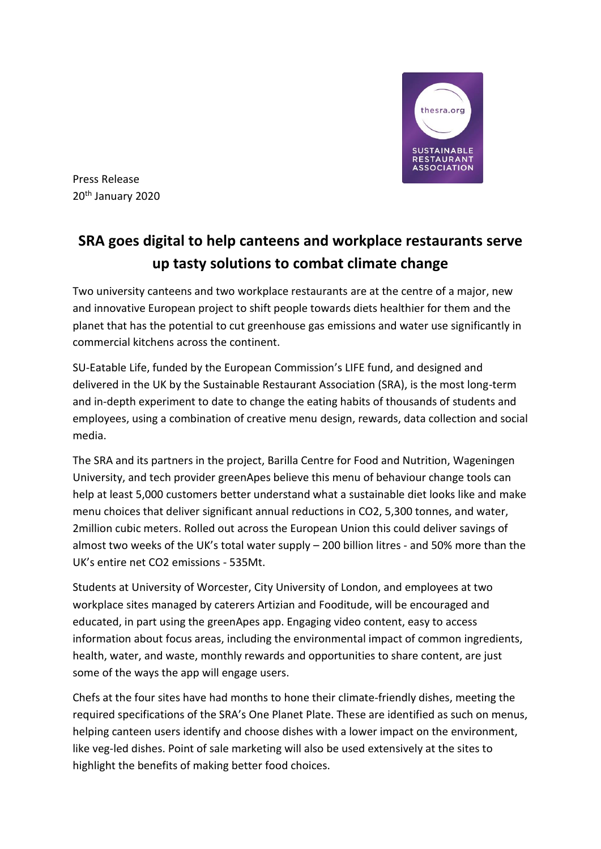

Press Release 20th January 2020

# **SRA goes digital to help canteens and workplace restaurants serve up tasty solutions to combat climate change**

Two university canteens and two workplace restaurants are at the centre of a major, new and innovative European project to shift people towards diets healthier for them and the planet that has the potential to cut greenhouse gas emissions and water use significantly in commercial kitchens across the continent.

SU-Eatable Life, funded by the European Commission's LIFE fund, and designed and delivered in the UK by the Sustainable Restaurant Association (SRA), is the most long-term and in-depth experiment to date to change the eating habits of thousands of students and employees, using a combination of creative menu design, rewards, data collection and social media.

The SRA and its partners in the project, Barilla Centre for Food and Nutrition, Wageningen University, and tech provider greenApes believe this menu of behaviour change tools can help at least 5,000 customers better understand what a sustainable diet looks like and make menu choices that deliver significant annual reductions in CO2, 5,300 tonnes, and water, 2million cubic meters. Rolled out across the European Union this could deliver savings of almost two weeks of the UK's total water supply – 200 billion litres - and 50% more than the UK's entire net CO2 emissions - 535Mt.

Students at University of Worcester, City University of London, and employees at two workplace sites managed by caterers Artizian and Fooditude, will be encouraged and educated, in part using the greenApes app. Engaging video content, easy to access information about focus areas, including the environmental impact of common ingredients, health, water, and waste, monthly rewards and opportunities to share content, are just some of the ways the app will engage users.

Chefs at the four sites have had months to hone their climate-friendly dishes, meeting the required specifications of the SRA's One Planet Plate. These are identified as such on menus, helping canteen users identify and choose dishes with a lower impact on the environment, like veg-led dishes. Point of sale marketing will also be used extensively at the sites to highlight the benefits of making better food choices.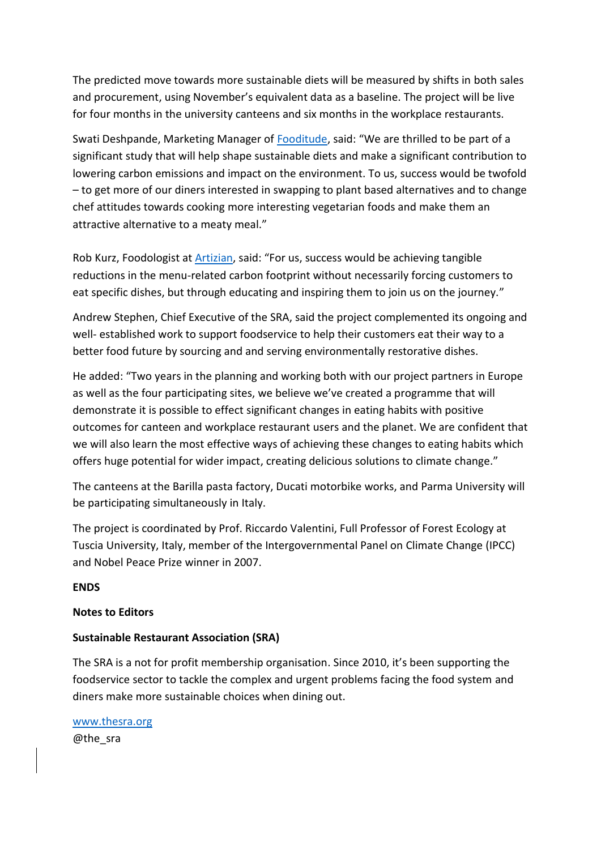The predicted move towards more sustainable diets will be measured by shifts in both sales and procurement, using November's equivalent data as a baseline. The project will be live for four months in the university canteens and six months in the workplace restaurants.

Swati Deshpande, Marketing Manager of [Fooditude](https://www.fooditude.co.uk/), said: "We are thrilled to be part of a significant study that will help shape sustainable diets and make a significant contribution to lowering carbon emissions and impact on the environment. To us, success would be twofold – to get more of our diners interested in swapping to plant based alternatives and to change chef attitudes towards cooking more interesting vegetarian foods and make them an attractive alternative to a meaty meal."

Rob Kurz, Foodologist at [Artizian](https://artiziancatering.co.uk/), said: "For us, success would be achieving tangible reductions in the menu-related carbon footprint without necessarily forcing customers to eat specific dishes, but through educating and inspiring them to join us on the journey."

Andrew Stephen, Chief Executive of the SRA, said the project complemented its ongoing and well- established work to support foodservice to help their customers eat their way to a better food future by sourcing and and serving environmentally restorative dishes.

He added: "Two years in the planning and working both with our project partners in Europe as well as the four participating sites, we believe we've created a programme that will demonstrate it is possible to effect significant changes in eating habits with positive outcomes for canteen and workplace restaurant users and the planet. We are confident that we will also learn the most effective ways of achieving these changes to eating habits which offers huge potential for wider impact, creating delicious solutions to climate change."

The canteens at the Barilla pasta factory, Ducati motorbike works, and Parma University will be participating simultaneously in Italy.

The project is coordinated by Prof. Riccardo Valentini, Full Professor of Forest Ecology at Tuscia University, Italy, member of the Intergovernmental Panel on Climate Change (IPCC) and Nobel Peace Prize winner in 2007.

### **ENDS**

## **Notes to Editors**

## **Sustainable Restaurant Association (SRA)**

The SRA is a not for profit membership organisation. Since 2010, it's been supporting the foodservice sector to tackle the complex and urgent problems facing the food system and diners make more sustainable choices when dining out.

[www.thesra.org](http://www.thesra.org/) @the\_sra